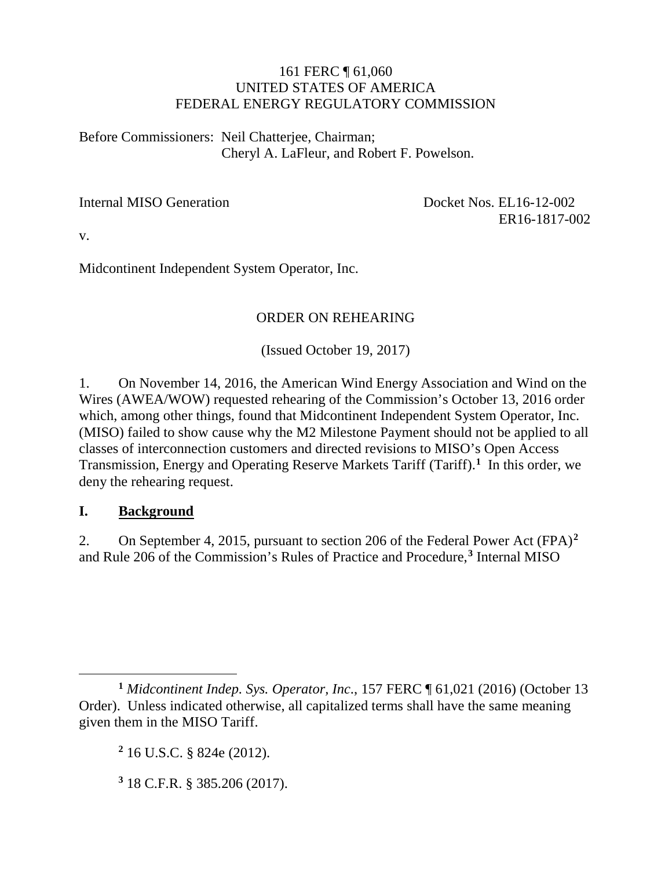#### 161 FERC ¶ 61,060 UNITED STATES OF AMERICA FEDERAL ENERGY REGULATORY COMMISSION

Before Commissioners: Neil Chatterjee, Chairman; Cheryl A. LaFleur, and Robert F. Powelson.

Internal MISO Generation Docket Nos. EL16-12-002 ER16-1817-002

v.

Midcontinent Independent System Operator, Inc.

## ORDER ON REHEARING

(Issued October 19, 2017)

1. On November 14, 2016, the American Wind Energy Association and Wind on the Wires (AWEA/WOW) requested rehearing of the Commission's October 13, 2016 order which, among other things, found that Midcontinent Independent System Operator, Inc. (MISO) failed to show cause why the M2 Milestone Payment should not be applied to all classes of interconnection customers and directed revisions to MISO's Open Access Transmission, Energy and Operating Reserve Markets Tariff (Tariff).**[1](#page-0-0)** In this order, we deny the rehearing request.

### **I. Background**

2. On September 4, 2015, pursuant to section 206 of the Federal Power Act (FPA)**[2](#page-0-1)** and Rule 206 of the Commission's Rules of Practice and Procedure,**[3](#page-0-2)** Internal MISO

<span id="page-0-2"></span>**<sup>3</sup>** 18 C.F.R. § 385.206 (2017).

<span id="page-0-1"></span><span id="page-0-0"></span> $\overline{a}$ **<sup>1</sup>** *Midcontinent Indep. Sys. Operator, Inc*., 157 FERC ¶ 61,021 (2016) (October 13 Order). Unless indicated otherwise, all capitalized terms shall have the same meaning given them in the MISO Tariff.

**<sup>2</sup>** 16 U.S.C. § 824e (2012).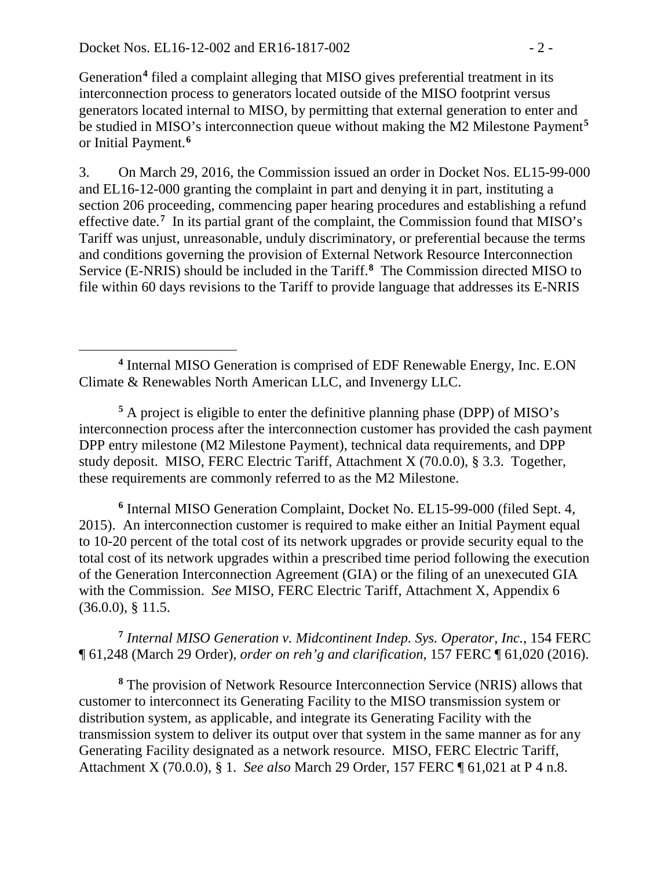Generation**[4](#page-1-0)** filed a complaint alleging that MISO gives preferential treatment in its interconnection process to generators located outside of the MISO footprint versus generators located internal to MISO, by permitting that external generation to enter and be studied in MISO's interconnection queue without making the M2 Milestone Payment**[5](#page-1-1)** or Initial Payment. **[6](#page-1-2)**

3. On March 29, 2016, the Commission issued an order in Docket Nos. EL15-99-000 and EL16-12-000 granting the complaint in part and denying it in part, instituting a section 206 proceeding, commencing paper hearing procedures and establishing a refund effective date.**[7](#page-1-3)** In its partial grant of the complaint, the Commission found that MISO's Tariff was unjust, unreasonable, unduly discriminatory, or preferential because the terms and conditions governing the provision of External Network Resource Interconnection Service (E-NRIS) should be included in the Tariff. **[8](#page-1-4)** The Commission directed MISO to file within 60 days revisions to the Tariff to provide language that addresses its E-NRIS

<span id="page-1-1"></span>**<sup>5</sup>** A project is eligible to enter the definitive planning phase (DPP) of MISO's interconnection process after the interconnection customer has provided the cash payment DPP entry milestone (M2 Milestone Payment), technical data requirements, and DPP study deposit. MISO, FERC Electric Tariff, Attachment X (70.0.0), § 3.3. Together, these requirements are commonly referred to as the M2 Milestone.

<span id="page-1-2"></span>**<sup>6</sup>** Internal MISO Generation Complaint, Docket No. EL15-99-000 (filed Sept. 4, 2015). An interconnection customer is required to make either an Initial Payment equal to 10-20 percent of the total cost of its network upgrades or provide security equal to the total cost of its network upgrades within a prescribed time period following the execution of the Generation Interconnection Agreement (GIA) or the filing of an unexecuted GIA with the Commission. *See* MISO, FERC Electric Tariff, Attachment X, Appendix 6 (36.0.0), § 11.5.

<span id="page-1-3"></span>**<sup>7</sup>** *Internal MISO Generation v. Midcontinent Indep. Sys. Operator, Inc.*, 154 FERC ¶ 61,248 (March 29 Order), *order on reh'g and clarification*, 157 FERC ¶ 61,020 (2016).

<span id="page-1-4"></span>**<sup>8</sup>** The provision of Network Resource Interconnection Service (NRIS) allows that customer to interconnect its Generating Facility to the MISO transmission system or distribution system, as applicable, and integrate its Generating Facility with the transmission system to deliver its output over that system in the same manner as for any Generating Facility designated as a network resource. MISO, FERC Electric Tariff, Attachment X (70.0.0), § 1. *See also* March 29 Order, 157 FERC ¶ 61,021 at P 4 n.8.

<span id="page-1-0"></span> $\overline{a}$ **<sup>4</sup>** Internal MISO Generation is comprised of EDF Renewable Energy, Inc. E.ON Climate & Renewables North American LLC, and Invenergy LLC.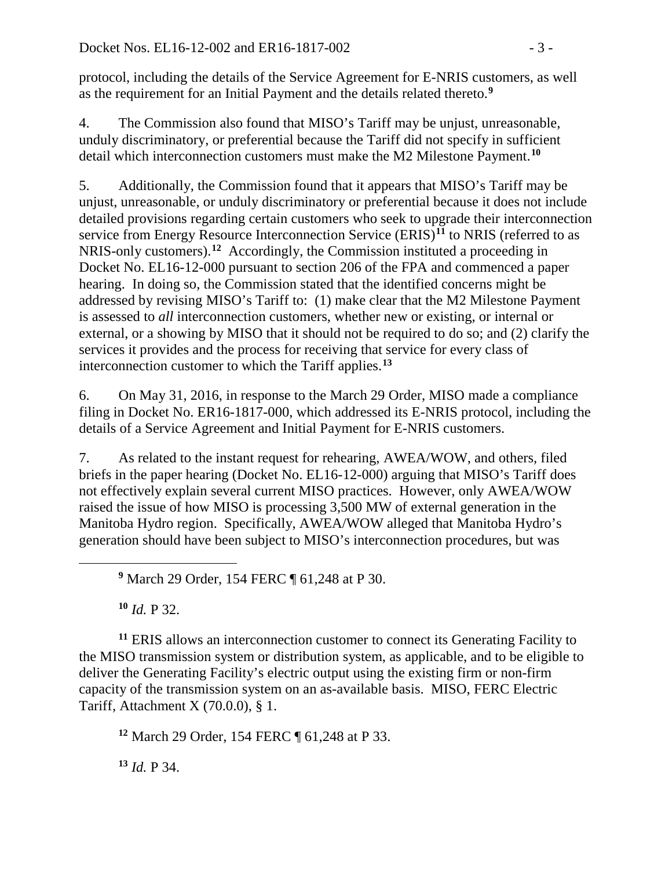protocol, including the details of the Service Agreement for E-NRIS customers, as well as the requirement for an Initial Payment and the details related thereto. **[9](#page-2-0)**

4. The Commission also found that MISO's Tariff may be unjust, unreasonable, unduly discriminatory, or preferential because the Tariff did not specify in sufficient detail which interconnection customers must make the M2 Milestone Payment.**[10](#page-2-1)**

5. Additionally, the Commission found that it appears that MISO's Tariff may be unjust, unreasonable, or unduly discriminatory or preferential because it does not include detailed provisions regarding certain customers who seek to upgrade their interconnection service from Energy Resource Interconnection Service (ERIS)**[11](#page-2-2)** to NRIS (referred to as NRIS-only customers).**[12](#page-2-3)** Accordingly, the Commission instituted a proceeding in Docket No. EL16-12-000 pursuant to section 206 of the FPA and commenced a paper hearing. In doing so, the Commission stated that the identified concerns might be addressed by revising MISO's Tariff to: (1) make clear that the M2 Milestone Payment is assessed to *all* interconnection customers, whether new or existing, or internal or external, or a showing by MISO that it should not be required to do so; and (2) clarify the services it provides and the process for receiving that service for every class of interconnection customer to which the Tariff applies. **[13](#page-2-4)**

6. On May 31, 2016, in response to the March 29 Order, MISO made a compliance filing in Docket No. ER16-1817-000, which addressed its E-NRIS protocol, including the details of a Service Agreement and Initial Payment for E-NRIS customers.

7. As related to the instant request for rehearing, AWEA/WOW, and others, filed briefs in the paper hearing (Docket No. EL16-12-000) arguing that MISO's Tariff does not effectively explain several current MISO practices. However, only AWEA/WOW raised the issue of how MISO is processing 3,500 MW of external generation in the Manitoba Hydro region. Specifically, AWEA/WOW alleged that Manitoba Hydro's generation should have been subject to MISO's interconnection procedures, but was

**<sup>9</sup>** March 29 Order, 154 FERC ¶ 61,248 at P 30.

**<sup>10</sup>** *Id.* P 32.

<span id="page-2-0"></span> $\overline{a}$ 

<span id="page-2-2"></span><span id="page-2-1"></span>**<sup>11</sup>** ERIS allows an interconnection customer to connect its Generating Facility to the MISO transmission system or distribution system, as applicable, and to be eligible to deliver the Generating Facility's electric output using the existing firm or non-firm capacity of the transmission system on an as-available basis. MISO, FERC Electric Tariff, Attachment X (70.0.0), § 1.

<span id="page-2-3"></span>**<sup>12</sup>** March 29 Order, 154 FERC ¶ 61,248 at P 33.

<span id="page-2-4"></span>**<sup>13</sup>** *Id.* P 34.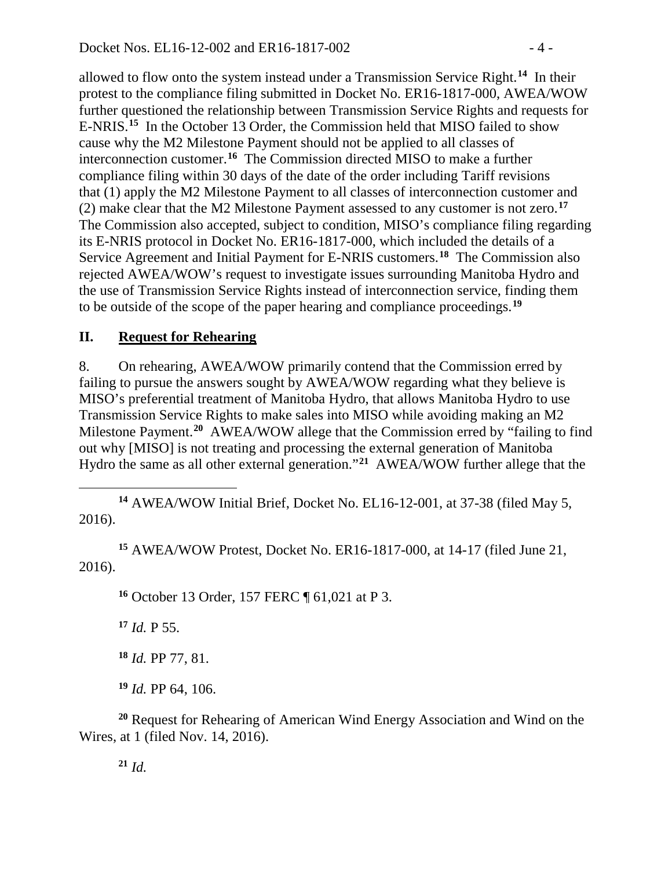allowed to flow onto the system instead under a Transmission Service Right. **[14](#page-3-0)** In their protest to the compliance filing submitted in Docket No. ER16-1817-000, AWEA/WOW further questioned the relationship between Transmission Service Rights and requests for E-NRIS. **[15](#page-3-1)** In the October 13 Order, the Commission held that MISO failed to show cause why the M2 Milestone Payment should not be applied to all classes of interconnection customer.**[16](#page-3-2)** The Commission directed MISO to make a further compliance filing within 30 days of the date of the order including Tariff revisions that (1) apply the M2 Milestone Payment to all classes of interconnection customer and (2) make clear that the M2 Milestone Payment assessed to any customer is not zero.**[17](#page-3-3)** The Commission also accepted, subject to condition, MISO's compliance filing regarding its E-NRIS protocol in Docket No. ER16-1817-000, which included the details of a Service Agreement and Initial Payment for E-NRIS customers. **[18](#page-3-4)** The Commission also rejected AWEA/WOW's request to investigate issues surrounding Manitoba Hydro and the use of Transmission Service Rights instead of interconnection service, finding them to be outside of the scope of the paper hearing and compliance proceedings. **[19](#page-3-5)**

# **II. Request for Rehearing**

8. On rehearing, AWEA/WOW primarily contend that the Commission erred by failing to pursue the answers sought by AWEA/WOW regarding what they believe is MISO's preferential treatment of Manitoba Hydro, that allows Manitoba Hydro to use Transmission Service Rights to make sales into MISO while avoiding making an M2 Milestone Payment. **[20](#page-3-6)** AWEA/WOW allege that the Commission erred by "failing to find out why [MISO] is not treating and processing the external generation of Manitoba Hydro the same as all other external generation."**[21](#page-3-7)** AWEA/WOW further allege that the

<span id="page-3-0"></span> $\overline{a}$ **<sup>14</sup>** AWEA/WOW Initial Brief, Docket No. EL16-12-001, at 37-38 (filed May 5, 2016).

<span id="page-3-3"></span><span id="page-3-2"></span><span id="page-3-1"></span>**<sup>15</sup>** AWEA/WOW Protest, Docket No. ER16-1817-000, at 14-17 (filed June 21, 2016).

**<sup>16</sup>** October 13 Order, 157 FERC ¶ 61,021 at P 3.

**<sup>17</sup>** *Id.* P 55.

**<sup>18</sup>** *Id.* PP 77, 81.

**<sup>19</sup>** *Id.* PP 64, 106.

<span id="page-3-7"></span><span id="page-3-6"></span><span id="page-3-5"></span><span id="page-3-4"></span>**<sup>20</sup>** Request for Rehearing of American Wind Energy Association and Wind on the Wires, at 1 (filed Nov. 14, 2016).

**<sup>21</sup>** *Id.*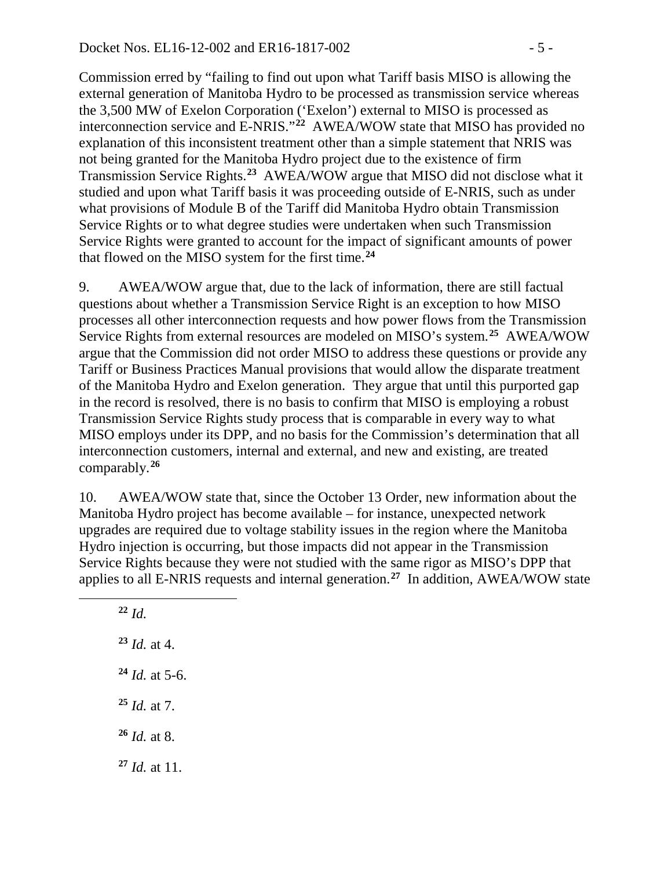Commission erred by "failing to find out upon what Tariff basis MISO is allowing the external generation of Manitoba Hydro to be processed as transmission service whereas the 3,500 MW of Exelon Corporation ('Exelon') external to MISO is processed as interconnection service and E-NRIS."**[22](#page-4-0)** AWEA/WOW state that MISO has provided no explanation of this inconsistent treatment other than a simple statement that NRIS was not being granted for the Manitoba Hydro project due to the existence of firm Transmission Service Rights. **[23](#page-4-1)** AWEA/WOW argue that MISO did not disclose what it studied and upon what Tariff basis it was proceeding outside of E-NRIS, such as under what provisions of Module B of the Tariff did Manitoba Hydro obtain Transmission Service Rights or to what degree studies were undertaken when such Transmission Service Rights were granted to account for the impact of significant amounts of power that flowed on the MISO system for the first time.**[24](#page-4-2)**

9. AWEA/WOW argue that, due to the lack of information, there are still factual questions about whether a Transmission Service Right is an exception to how MISO processes all other interconnection requests and how power flows from the Transmission Service Rights from external resources are modeled on MISO's system.**[25](#page-4-3)** AWEA/WOW argue that the Commission did not order MISO to address these questions or provide any Tariff or Business Practices Manual provisions that would allow the disparate treatment of the Manitoba Hydro and Exelon generation. They argue that until this purported gap in the record is resolved, there is no basis to confirm that MISO is employing a robust Transmission Service Rights study process that is comparable in every way to what MISO employs under its DPP, and no basis for the Commission's determination that all interconnection customers, internal and external, and new and existing, are treated comparably.**[26](#page-4-4)**

10. AWEA/WOW state that, since the October 13 Order, new information about the Manitoba Hydro project has become available – for instance, unexpected network upgrades are required due to voltage stability issues in the region where the Manitoba Hydro injection is occurring, but those impacts did not appear in the Transmission Service Rights because they were not studied with the same rigor as MISO's DPP that applies to all E-NRIS requests and internal generation.**[27](#page-4-5)** In addition, AWEA/WOW state

**<sup>22</sup>** *Id. Id.* at 4. *Id.* at 5-6. *Id.* at 7. *Id.* at 8. *Id.* at 11.

<span id="page-4-5"></span><span id="page-4-4"></span><span id="page-4-3"></span><span id="page-4-2"></span><span id="page-4-1"></span><span id="page-4-0"></span> $\overline{a}$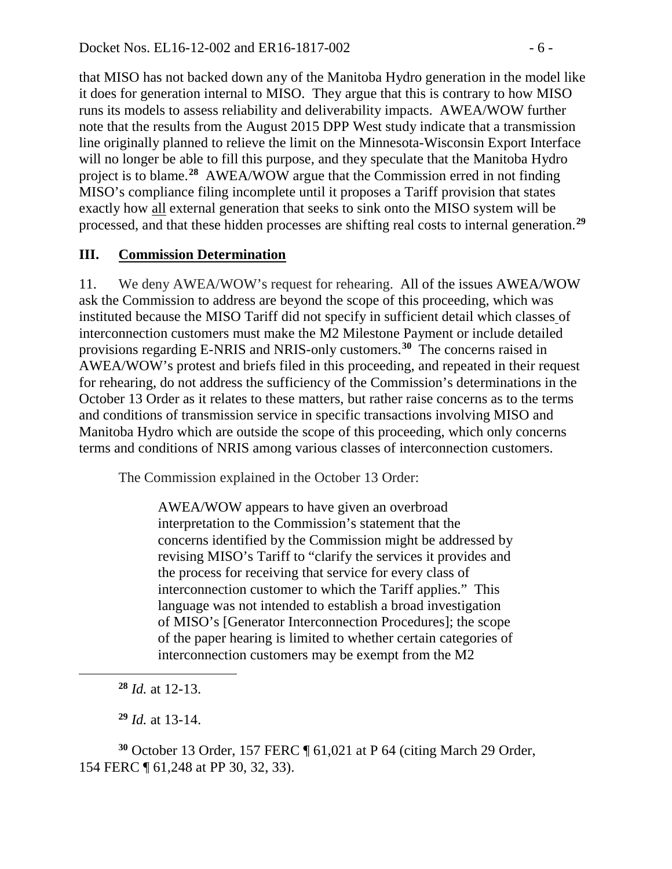that MISO has not backed down any of the Manitoba Hydro generation in the model like it does for generation internal to MISO. They argue that this is contrary to how MISO runs its models to assess reliability and deliverability impacts. AWEA/WOW further note that the results from the August 2015 DPP West study indicate that a transmission line originally planned to relieve the limit on the Minnesota-Wisconsin Export Interface will no longer be able to fill this purpose, and they speculate that the Manitoba Hydro project is to blame.**[28](#page-5-0)** AWEA/WOW argue that the Commission erred in not finding MISO's compliance filing incomplete until it proposes a Tariff provision that states exactly how all external generation that seeks to sink onto the MISO system will be processed, and that these hidden processes are shifting real costs to internal generation.**[29](#page-5-1)**

# **III. Commission Determination**

11. We deny AWEA/WOW's request for rehearing. All of the issues AWEA/WOW ask the Commission to address are beyond the scope of this proceeding, which was instituted because the MISO Tariff did not specify in sufficient detail which classes of interconnection customers must make the M2 Milestone Payment or include detailed provisions regarding E-NRIS and NRIS-only customers.**[30](#page-5-2)** The concerns raised in AWEA/WOW's protest and briefs filed in this proceeding, and repeated in their request for rehearing, do not address the sufficiency of the Commission's determinations in the October 13 Order as it relates to these matters, but rather raise concerns as to the terms and conditions of transmission service in specific transactions involving MISO and Manitoba Hydro which are outside the scope of this proceeding, which only concerns terms and conditions of NRIS among various classes of interconnection customers.

The Commission explained in the October 13 Order:

AWEA/WOW appears to have given an overbroad interpretation to the Commission's statement that the concerns identified by the Commission might be addressed by revising MISO's Tariff to "clarify the services it provides and the process for receiving that service for every class of interconnection customer to which the Tariff applies." This language was not intended to establish a broad investigation of MISO's [Generator Interconnection Procedures]; the scope of the paper hearing is limited to whether certain categories of interconnection customers may be exempt from the M2

**<sup>28</sup>** *Id.* at 12-13.

<span id="page-5-0"></span> $\overline{a}$ 

**<sup>29</sup>** *Id.* at 13-14.

<span id="page-5-2"></span><span id="page-5-1"></span>**<sup>30</sup>** October 13 Order, 157 FERC ¶ 61,021 at P 64 (citing March 29 Order, 154 FERC ¶ 61,248 at PP 30, 32, 33).